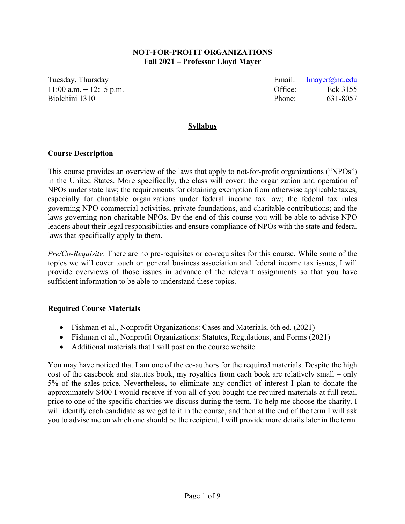## **NOT-FOR-PROFIT ORGANIZATIONS Fall 2021 – Professor Lloyd Mayer**

Tuesday, Thursday **Email:** letter and the Email: letter and the Email: letter and the Email: letter and the Email: letter and the Email: letter and the Email: letter and the Email: letter and the Email: letter and the Emai 11:00 a.m. – 12:15 p.m. Office: Eck 3155 Biolchini 1310 **Phone:** 631-8057

## **Syllabus**

## **Course Description**

This course provides an overview of the laws that apply to not-for-profit organizations ("NPOs") in the United States. More specifically, the class will cover: the organization and operation of NPOs under state law; the requirements for obtaining exemption from otherwise applicable taxes, especially for charitable organizations under federal income tax law; the federal tax rules governing NPO commercial activities, private foundations, and charitable contributions; and the laws governing non-charitable NPOs. By the end of this course you will be able to advise NPO leaders about their legal responsibilities and ensure compliance of NPOs with the state and federal laws that specifically apply to them.

*Pre/Co-Requisite*: There are no pre-requisites or co-requisites for this course. While some of the topics we will cover touch on general business association and federal income tax issues, I will provide overviews of those issues in advance of the relevant assignments so that you have sufficient information to be able to understand these topics.

## **Required Course Materials**

- Fishman et al., Nonprofit Organizations: Cases and Materials, 6th ed. (2021)
- Fishman et al., Nonprofit Organizations: Statutes, Regulations, and Forms (2021)
- Additional materials that I will post on the course website

You may have noticed that I am one of the co-authors for the required materials. Despite the high cost of the casebook and statutes book, my royalties from each book are relatively small – only 5% of the sales price. Nevertheless, to eliminate any conflict of interest I plan to donate the approximately \$400 I would receive if you all of you bought the required materials at full retail price to one of the specific charities we discuss during the term. To help me choose the charity, I will identify each candidate as we get to it in the course, and then at the end of the term I will ask you to advise me on which one should be the recipient. I will provide more details later in the term.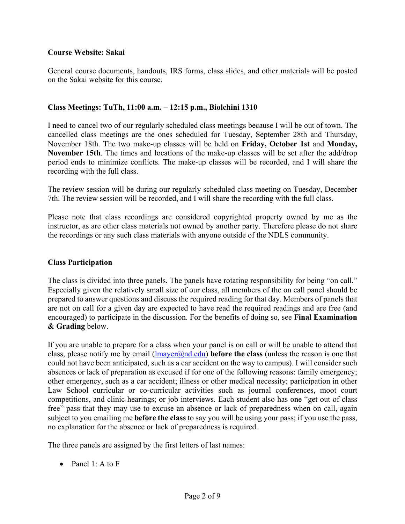## **Course Website: Sakai**

General course documents, handouts, IRS forms, class slides, and other materials will be posted on the Sakai website for this course.

## **Class Meetings: TuTh, 11:00 a.m. – 12:15 p.m., Biolchini 1310**

I need to cancel two of our regularly scheduled class meetings because I will be out of town. The cancelled class meetings are the ones scheduled for Tuesday, September 28th and Thursday, November 18th. The two make-up classes will be held on **Friday, October 1st** and **Monday, November 15th**. The times and locations of the make-up classes will be set after the add/drop period ends to minimize conflicts. The make-up classes will be recorded, and I will share the recording with the full class.

The review session will be during our regularly scheduled class meeting on Tuesday, December 7th. The review session will be recorded, and I will share the recording with the full class.

Please note that class recordings are considered copyrighted property owned by me as the instructor, as are other class materials not owned by another party. Therefore please do not share the recordings or any such class materials with anyone outside of the NDLS community.

## **Class Participation**

The class is divided into three panels. The panels have rotating responsibility for being "on call." Especially given the relatively small size of our class, all members of the on call panel should be prepared to answer questions and discuss the required reading for that day. Members of panels that are not on call for a given day are expected to have read the required readings and are free (and encouraged) to participate in the discussion. For the benefits of doing so, see **Final Examination & Grading** below.

If you are unable to prepare for a class when your panel is on call or will be unable to attend that class, please notify me by email  $(\text{lmayer@nd.edu})$  **before the class** (unless the reason is one that could not have been anticipated, such as a car accident on the way to campus). I will consider such absences or lack of preparation as excused if for one of the following reasons: family emergency; other emergency, such as a car accident; illness or other medical necessity; participation in other Law School curricular or co-curricular activities such as journal conferences, moot court competitions, and clinic hearings; or job interviews. Each student also has one "get out of class free" pass that they may use to excuse an absence or lack of preparedness when on call, again subject to you emailing me **before the class** to say you will be using your pass; if you use the pass, no explanation for the absence or lack of preparedness is required.

The three panels are assigned by the first letters of last names:

• Panel 1: A to F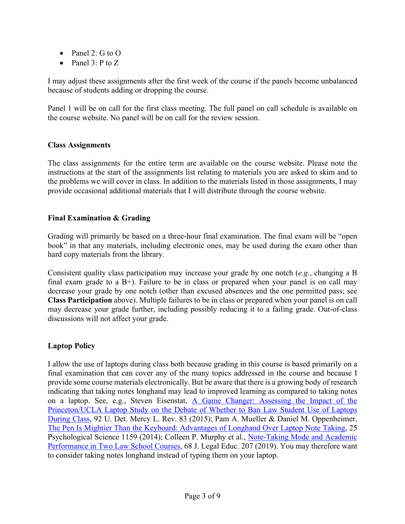- Panel 2:  $G$  to  $O$
- Panel 3: P to Z

I may adjust these assignments after the first week of the course if the panels become unbalanced because of students adding or dropping the course.

Panel 1 will be on call for the first class meeting. The full panel on call schedule is available on the course website. No panel will be on call for the review session.

## **Class Assignments**

The class assignments for the entire term are available on the course website. Please note the instructions at the start of the assignments list relating to materials you are asked to skim and to the problems we will cover in class. In addition to the materials listed in those assignments, I may provide occasional additional materials that I will distribute through the course website.

# **Final Examination & Grading**

Grading will primarily be based on a three-hour final examination. The final exam will be "open book" in that any materials, including electronic ones, may be used during the exam other than hard copy materials from the library.

Consistent quality class participation may increase your grade by one notch (*e.g.*, changing a B final exam grade to a  $B<sup>+</sup>$ ). Failure to be in class or prepared when your panel is on call may decrease your grade by one notch (other than excused absences and the one permitted pass; see **Class Participation** above). Multiple failures to be in class or prepared when your panel is on call may decrease your grade further, including possibly reducing it to a failing grade. Out-of-class discussions will not affect your grade.

# **Laptop Policy**

I allow the use of laptops during class both because grading in this course is based primarily on a final examination that can cover any of the many topics addressed in the course and because I provide some course materials electronically. But be aware that there is a growing body of research indicating that taking notes longhand may lead to improved learning as compared to taking notes on a laptop. See, e.g., Steven Eisenstat, A Game Changer: Assessing the Impact of the Princeton/UCLA Laptop Study on the Debate of Whether to Ban Law Student Use of Laptops During Class, 92 U. Det. Mercy L. Rev. 83 (2015); Pam A. Mueller & Daniel M. Oppenheimer, The Pen Is Mightier Than the Keyboard: Advantages of Longhand Over Laptop Note Taking, 25 Psychological Science 1159 (2014); Colleen P. Murphy et al., Note-Taking Mode and Academic Performance in Two Law School Courses, 68 J. Legal Educ. 207 (2019). You may therefore want to consider taking notes longhand instead of typing them on your laptop.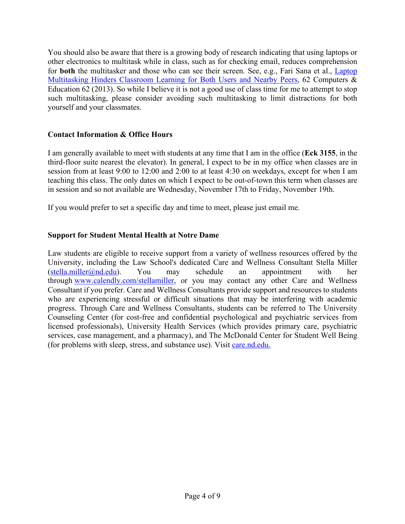You should also be aware that there is a growing body of research indicating that using laptops or other electronics to multitask while in class, such as for checking email, reduces comprehension for **both** the multitasker and those who can see their screen. See, e.g., Fari Sana et al., Laptop Multitasking Hinders Classroom Learning for Both Users and Nearby Peers, 62 Computers & Education 62 (2013). So while I believe it is not a good use of class time for me to attempt to stop such multitasking, please consider avoiding such multitasking to limit distractions for both yourself and your classmates.

# **Contact Information & Office Hours**

I am generally available to meet with students at any time that I am in the office (**Eck 3155**, in the third-floor suite nearest the elevator). In general, I expect to be in my office when classes are in session from at least 9:00 to 12:00 and 2:00 to at least 4:30 on weekdays, except for when I am teaching this class. The only dates on which I expect to be out-of-town this term when classes are in session and so not available are Wednesday, November 17th to Friday, November 19th.

If you would prefer to set a specific day and time to meet, please just email me.

# **Support for Student Mental Health at Notre Dame**

Law students are eligible to receive support from a variety of wellness resources offered by the University, including the Law School's dedicated Care and Wellness Consultant Stella Miller  $(stella.miller@nd.edu).$  You may schedule an appointment with her through www.calendly.com/stellamiller, or you may contact any other Care and Wellness Consultant if you prefer. Care and Wellness Consultants provide support and resources to students who are experiencing stressful or difficult situations that may be interfering with academic progress. Through Care and Wellness Consultants, students can be referred to The University Counseling Center (for cost-free and confidential psychological and psychiatric services from licensed professionals), University Health Services (which provides primary care, psychiatric services, case management, and a pharmacy), and The McDonald Center for Student Well Being (for problems with sleep, stress, and substance use). Visit care.nd.edu.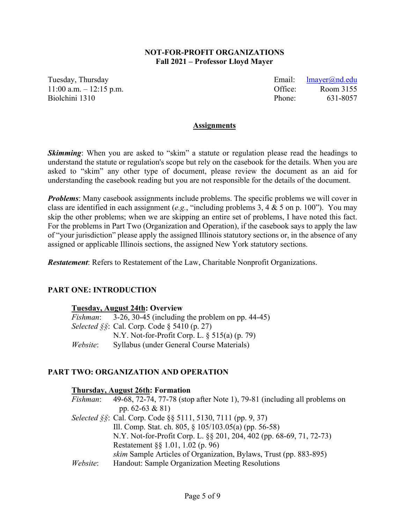## **NOT-FOR-PROFIT ORGANIZATIONS Fall 2021 – Professor Lloyd Mayer**

Tuesday, Thursday **Email:** letter and the Email: letter and the Email: letter and the Email: letter and the Email: letter and the Email: letter and the Email: letter and the Email: letter and the Email: letter and the Emai 11:00 a.m. – 12:15 p.m. Office: Room 3155 Biolchini 1310 **Phone:** 631-8057

#### **Assignments**

**Skimming**: When you are asked to "skim" a statute or regulation please read the headings to understand the statute or regulation's scope but rely on the casebook for the details. When you are asked to "skim" any other type of document, please review the document as an aid for understanding the casebook reading but you are not responsible for the details of the document.

*Problems*: Many casebook assignments include problems. The specific problems we will cover in class are identified in each assignment (*e.g.*, "including problems 3, 4 & 5 on p. 100"). You may skip the other problems; when we are skipping an entire set of problems, I have noted this fact. For the problems in Part Two (Organization and Operation), if the casebook says to apply the law of "your jurisdiction" please apply the assigned Illinois statutory sections or, in the absence of any assigned or applicable Illinois sections, the assigned New York statutory sections.

*Restatement*: Refers to Restatement of the Law, Charitable Nonprofit Organizations.

## **PART ONE: INTRODUCTION**

## **Tuesday, August 24th: Overview**

| <i>Fishman</i> : | $3-26$ , $30-45$ (including the problem on pp. 44-45)     |
|------------------|-----------------------------------------------------------|
|                  | <i>Selected</i> $\S$ s: Cal. Corp. Code $\S$ 5410 (p. 27) |
|                  | N.Y. Not-for-Profit Corp. L. $\S 515(a)$ (p. 79)          |
| Website:         | Syllabus (under General Course Materials)                 |

## **PART TWO: ORGANIZATION AND OPERATION**

#### **Thursday, August 26th: Formation**

| <i>Fishman</i> : | 49-68, 72-74, 77-78 (stop after Note 1), 79-81 (including all problems on |
|------------------|---------------------------------------------------------------------------|
|                  | pp. $62-63 & 81$                                                          |
|                  | Selected §§: Cal. Corp. Code §§ 5111, 5130, 7111 (pp. 9, 37)              |
|                  | Ill. Comp. Stat. ch. 805, $\S 105/103.05(a)$ (pp. 56-58)                  |
|                  | N.Y. Not-for-Profit Corp. L. §§ 201, 204, 402 (pp. 68-69, 71, 72-73)      |
|                  | Restatement §§ 1.01, 1.02 (p. 96)                                         |
|                  | skim Sample Articles of Organization, Bylaws, Trust (pp. 883-895)         |
| Website:         | Handout: Sample Organization Meeting Resolutions                          |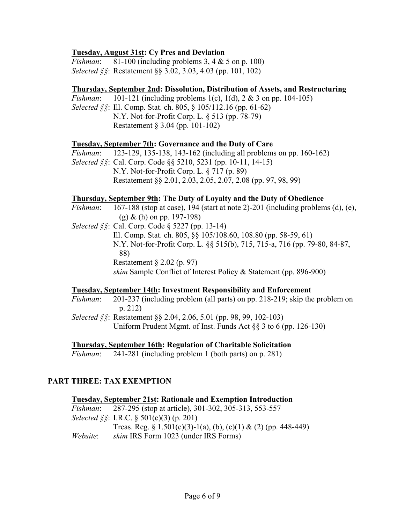## **Tuesday, August 31st: Cy Pres and Deviation**

*Fishman*: 81-100 (including problems 3, 4 & 5 on p. 100) *Selected §§*: Restatement §§ 3.02, 3.03, 4.03 (pp. 101, 102)

## **Thursday, September 2nd: Dissolution, Distribution of Assets, and Restructuring**

*Fishman*: 101-121 (including problems 1(c), 1(d), 2 & 3 on pp. 104-105)

*Selected §§*: Ill. Comp. Stat. ch. 805, § 105/112.16 (pp. 61-62) N.Y. Not-for-Profit Corp. L. § 513 (pp. 78-79) Restatement § 3.04 (pp. 101-102)

## **Tuesday, September 7th: Governance and the Duty of Care**

*Fishman*: 123-129, 135-138, 143-162 (including all problems on pp. 160-162)

*Selected §§*: Cal. Corp. Code §§ 5210, 5231 (pp. 10-11, 14-15) N.Y. Not-for-Profit Corp. L. § 717 (p. 89) Restatement §§ 2.01, 2.03, 2.05, 2.07, 2.08 (pp. 97, 98, 99)

## **Thursday, September 9th: The Duty of Loyalty and the Duty of Obedience**

- *Fishman*: 167-188 (stop at case), 194 (start at note 2)-201 (including problems (d), (e), (g) & (h) on pp. 197-198)
- *Selected §§*: Cal. Corp. Code § 5227 (pp. 13-14)

Ill. Comp. Stat. ch. 805, §§ 105/108.60, 108.80 (pp. 58-59, 61) N.Y. Not-for-Profit Corp. L. §§ 515(b), 715, 715-a, 716 (pp. 79-80, 84-87, 88) Restatement § 2.02 (p. 97) *skim* Sample Conflict of Interest Policy & Statement (pp. 896-900)

## **Tuesday, September 14th: Investment Responsibility and Enforcement**

*Fishman*: 201-237 (including problem (all parts) on pp. 218-219; skip the problem on p. 212)

*Selected §§*: Restatement §§ 2.04, 2.06, 5.01 (pp. 98, 99, 102-103) Uniform Prudent Mgmt. of Inst. Funds Act  $\S$ § 3 to 6 (pp. 126-130)

## **Thursday, September 16th: Regulation of Charitable Solicitation**

*Fishman*: 241-281 (including problem 1 (both parts) on p. 281)

# **PART THREE: TAX EXEMPTION**

| <b>Tuesday, September 21st: Rationale and Exemption Introduction</b> |                                                                       |  |
|----------------------------------------------------------------------|-----------------------------------------------------------------------|--|
|                                                                      | <i>Fishman</i> : 287-295 (stop at article), 301-302, 305-313, 553-557 |  |
|                                                                      | <i>Selected</i> $\S$ : I.R.C. $\S$ 501(c)(3) (p. 201)                 |  |
|                                                                      | Treas. Reg. § 1.501(c)(3)-1(a), (b), (c)(1) & (2) (pp. 448-449)       |  |
| Website:                                                             | <i>skim</i> IRS Form 1023 (under IRS Forms)                           |  |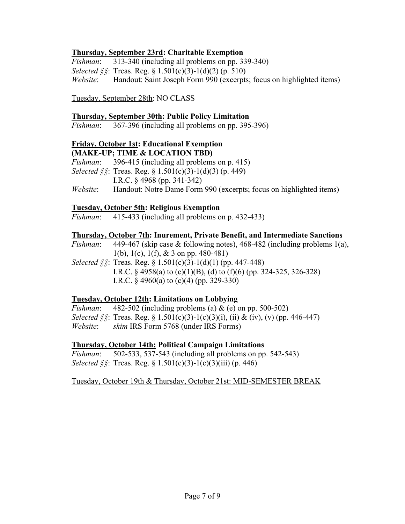# **Thursday, September 23rd: Charitable Exemption**

*Fishman*: 313-340 (including all problems on pp. 339-340) *Selected §§*: Treas. Reg. § 1.501(c)(3)-1(d)(2) (p. 510) *Website*: Handout: Saint Joseph Form 990 (excerpts; focus on highlighted items)

Tuesday, September 28th: NO CLASS

## **Thursday, September 30th: Public Policy Limitation**

*Fishman*: 367-396 (including all problems on pp. 395-396)

## **Friday, October 1st: Educational Exemption (MAKE-UP; TIME & LOCATION TBD)**

- *Fishman*: 396-415 (including all problems on p. 415) *Selected §§*: Treas. Reg. § 1.501(c)(3)-1(d)(3) (p. 449) I.R.C. § 4968 (pp. 341-342)
- *Website*: Handout: Notre Dame Form 990 (excerpts; focus on highlighted items)

## **Tuesday, October 5th: Religious Exemption**

*Fishman*: 415-433 (including all problems on p. 432-433)

## **Thursday, October 7th: Inurement, Private Benefit, and Intermediate Sanctions**

*Fishman*: 449-467 (skip case & following notes), 468-482 (including problems 1(a), 1(b), 1(c), 1(f), & 3 on pp. 480-481)

*Selected §§*: Treas. Reg. § 1.501(c)(3)-1(d)(1) (pp. 447-448) I.R.C. § 4958(a) to (c)(1)(B), (d) to (f)(6) (pp. 324-325, 326-328) I.R.C.  $\frac{24960(a)}{10}$  to (c)(4) (pp. 329-330)

# **Tuesday, October 12th: Limitations on Lobbying**

*Fishman*: 482-502 (including problems (a) & (e) on pp. 500-502) *Selected*  $\delta \$ : Treas. Reg.  $\delta$  1.501(c)(3)-1(c)(3)(i), (ii) & (iv), (v) (pp. 446-447) *Website*: *skim* IRS Form 5768 (under IRS Forms)

## **Thursday, October 14th: Political Campaign Limitations**

*Fishman*: 502-533, 537-543 (including all problems on pp. 542-543) *Selected §§*: Treas. Reg. § 1.501(c)(3)-1(c)(3)(iii) (p. 446)

Tuesday, October 19th & Thursday, October 21st: MID-SEMESTER BREAK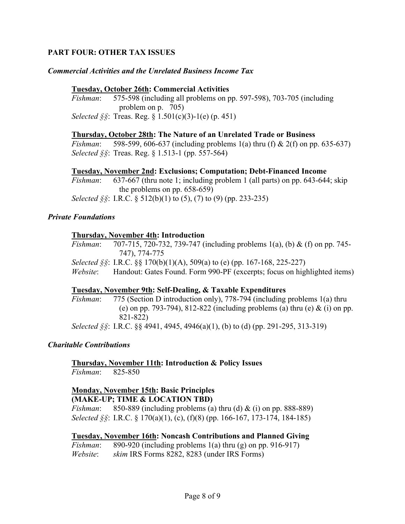# **PART FOUR: OTHER TAX ISSUES**

## *Commercial Activities and the Unrelated Business Income Tax*

## **Tuesday, October 26th: Commercial Activities**

*Fishman*: 575-598 (including all problems on pp. 597-598), 703-705 (including problem on p. 705)

*Selected §§*: Treas. Reg. § 1.501(c)(3)-1(e) (p. 451)

## **Thursday, October 28th: The Nature of an Unrelated Trade or Business**

*Fishman*: 598-599, 606-637 (including problems 1(a) thru (f) & 2(f) on pp. 635-637) *Selected §§*: Treas. Reg. § 1.513-1 (pp. 557-564)

## **Tuesday, November 2nd: Exclusions; Computation; Debt-Financed Income**

*Fishman*: 637-667 (thru note 1; including problem 1 (all parts) on pp. 643-644; skip the problems on pp. 658-659)

*Selected §§*: I.R.C. § 512(b)(1) to (5), (7) to (9) (pp. 233-235)

## *Private Foundations*

## **Thursday, November 4th: Introduction**

*Fishman*: 707-715, 720-732, 739-747 (including problems 1(a), (b) & (f) on pp. 745- 747), 774-775

*Selected §§*: I.R.C. §§ 170(b)(1)(A), 509(a) to (e) (pp. 167-168, 225-227)

*Website*: Handout: Gates Found. Form 990-PF (excerpts; focus on highlighted items)

## **Tuesday, November 9th: Self-Dealing, & Taxable Expenditures**

*Fishman*: 775 (Section D introduction only), 778-794 (including problems 1(a) thru (e) on pp. 793-794), 812-822 (including problems (a) thru (e)  $\&$  (i) on pp. 821-822)

*Selected §§*: I.R.C. §§ 4941, 4945, 4946(a)(1), (b) to (d) (pp. 291-295, 313-319)

## *Charitable Contributions*

# **Thursday, November 11th: Introduction & Policy Issues**

*Fishman*: 825-850

#### **Monday, November 15th: Basic Principles (MAKE-UP; TIME & LOCATION TBD)**

*Fishman*: 850-889 (including problems (a) thru (d) & (i) on pp. 888-889) *Selected §§*: I.R.C. § 170(a)(1), (c), (f)(8) (pp. 166-167, 173-174, 184-185)

## **Tuesday, November 16th: Noncash Contributions and Planned Giving**

*Fishman*: 890-920 (including problems 1(a) thru (g) on pp. 916-917)

*Website*: *skim* IRS Forms 8282, 8283 (under IRS Forms)